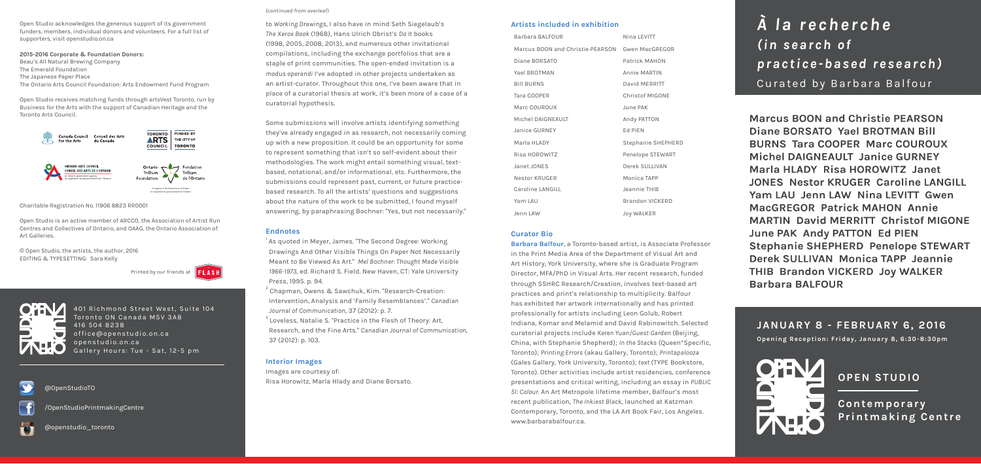to *Working Drawings*, I also have in mind Seth Siegelaub's *The Xerox Book* (1968), Hans Ulrich Obrist's *Do It* books (1998, 2005, 2008, 2013), and numerous other invitational compilations, including the exchange portfolios that are a staple of print communities. The open-ended invitation is a *modus operandi* I've adopted in other projects undertaken as an artist-curator. Throughout this one, I've been aware that in place of a curatorial thesis at work, it's been more of a case of a curatorial hypothesis.

 $2^{2}$  Chapman, Owens & Sawchuk, Kim. "Research-Creation: Intervention, Analysis and 'Family Resemblances'." *Canadian Journal of Communication*, 37 (2012): p. 7.

Some submissions will involve artists identifying something they've already engaged in as research, not necessarily coming up with a new proposition. It could be an opportunity for some to represent something that isn't so self-evident about their methodologies. The work might entail something visual, textbased, notational, and/or informational, etc. Furthermore, the submissions could represent past, current, or future practicebased research. To all the artists' questions and suggestions about the nature of the work to be submitted, I found myself answering, by paraphrasing Bochner: "Yes, but not necessarily."

 $^{\rm 3}$  Loveless, Natalie S. "Practice in the Flesh of Theory: Art, Research, and the Fine Arts." *Canadian Journal of Communication*, 37 (2012): p. 103.

#### **Endnotes**

1

 As quoted in Meyer, James. "The Second Degree: Working Drawings And Other Visible Things On Paper Not Necessarily Meant to Be Viewed As Art." *Mel Bochner: Thought Made Visible 1966-1973*, ed. Richard S. Field. New Haven, CT: Yale University Press, 1995. p. 94.

### **Interior Images**

Images are courtesy of: Risa Horowitz, Marla Hlady and Diane Borsato.

#### **Artists included in exhibition**

| Barbara BALFOUR                  | Nina LEVITT            |
|----------------------------------|------------------------|
| Marcus BOON and Christie PEARSON | <b>Gwen MacGREGOR</b>  |
| Diane BORSATO                    | Patrick MAHON          |
| Yael BROTMAN                     | Annie MARTIN           |
| <b>Bill BURNS</b>                | David MERRITT          |
| Tara COOPER                      | <b>Christof MIGONE</b> |
| Marc COUROUX                     | June PAK               |
| Michel DAIGNEAULT                | Andy PATTON            |
| <b>Janice GURNEY</b>             | Ed PIEN                |
| Marla HLADY                      | Stephanie SHEPHERD     |
| Risa HOROWITZ                    | Penelope STEWART       |
| Janet JONES                      | Derek SULLIVAN         |
| Nestor KRUGER                    | Monica TAPP            |
| Caroline LANGILL                 | Jeannie THIB           |
| Yam LAU                          | <b>Brandon VICKERD</b> |
| Jenn LAW                         | Joy WALKER             |

## **Curator Bio**

**Barbara Balfour**, a Toronto-based artist, is Associate Professor in the Print Media Area of the Department of Visual Art and Art History, York University, where she is Graduate Program Director, MFA/PhD in Visual Arts. Her recent research, funded through SSHRC Research/Creation, involves text-based art practices and print's relationship to multiplicity. Balfour has exhibited her artwork internationally and has printed professionally for artists including Leon Golub, Robert Indiana, Komar and Melamid and David Rabinowitch. Selected curatorial projects include *Keren Yuan/Guest Garden* (Beijing, China, with Stephanie Shepherd); *In the Stacks* (Queen\*Specific, Toronto); *Printing Errors* (akau Gallery, Toronto); *Printapalooza* (Gales Gallery, York University, Toronto); *text* (TYPE Bookstore, Toronto). Other activities include artist residencies, conference presentations and critical writing, including an essay in *PUBLIC 51: Colour*. An Art Metropole lifetime member, Balfour's most recent publication, *The Inkiest Black*, launched at Katzman Contemporary, Toronto, and the LA Art Book Fair, Los Angeles. www.barbarabalfour.ca.

401 Richmond Street West, Suite 104 Toronto ON Canada M5V 3A8 416 504 8238 office@openstudio.on.ca openstudio.on.ca Gallery Hours: Tue - Sat, 12-5 pm

# @OpenStudioTO

/OpenStudioPrintmakingCentre



@openstudio\_toronto

Open Studio acknowledges the generous support of its government funders, members, individual donors and volunteers. For a full list of supporters, visit openstudio.on.ca

**2015-2016 Corporate & Foundation Donors:** Beau's All Natural Brewing Company The Emerald Foundation The Japanese Paper Place The Ontario Arts Council Foundation: Arts Endowment Fund Program

Open Studio receives matching funds through artsVest Toronto, run by Business for the Arts with the support of Canadian Heritage and the Toronto Arts Council.

Charitable Registration No. 11906 8823 RR0001

Open Studio is an active member of ARCCO, the Association of Artist Run Centres and Collectives of Ontario, and OAAG, the Ontario Association of Art Galleries.

© Open Studio, the artists, the author, 2016 EDITING & TYPESETTING: Sara Kelly

Printed by our friends at  $\|\mathbf{F}\|$  A S H





*À l a r e c h e r c h e ( i n s e a r c h o f practice-based research)* Curated by Barbara Balfour

**Marcus BOON and Christie PEARSON** Diane BORSATO Yael BROTMAN Bill **BURNS Tara COOPER Marc COUROUX** Michel DAIGNEAULT Janice GURNEY Marla HLADY Risa HOROWITZ Janet **JONES Nestor KRUGER Caroline LANGILL** Yam LAU Jenn LAW Nina LEVITT Gwen **MacGREGOR Patrick MAHON Annie MARTIN David MERRITT Christof MIGONE June PAK Andy PATTON Ed PIEN Stephanie SHEPHERD Penelope STEWART** Derek SULLIVAN Monica TAPP Jeannie **THIB Brandon VICKERD Joy WALKER Barbara BALFOUR** 

**JANUARY 8 - FEBRUARY 6, 2016 Opening Reception: Friday, January 8, 6:30-8:30pm**

**OPEN STUDIO**

**Contemporary Printmaking Centre**

- 
- 
- 
- 
- 
- 
- 

#### (continued from overleaf)